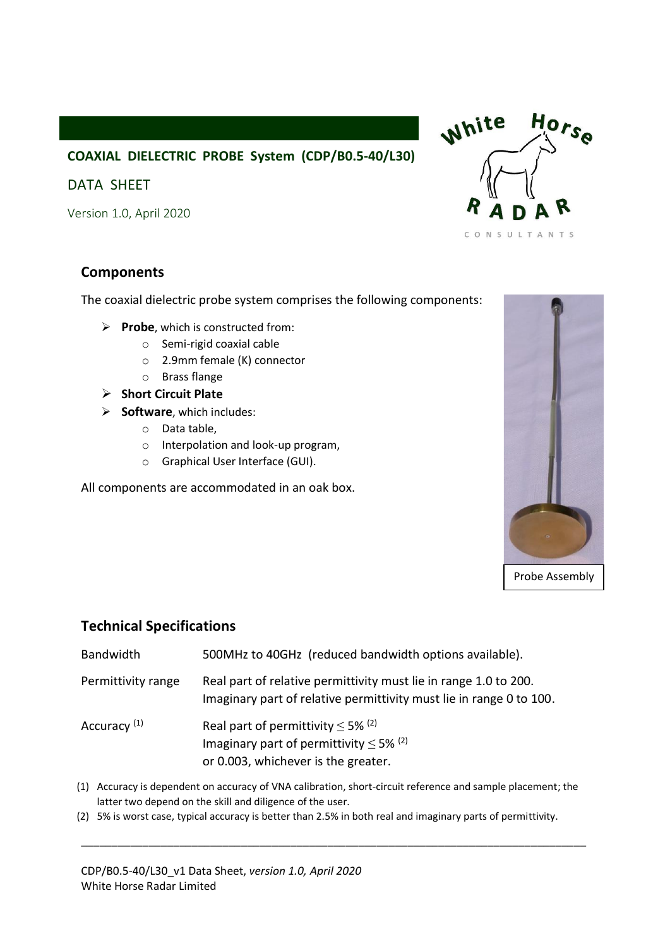## **COAXIAL DIELECTRIC PROBE System (CDP/B0.5-40/L30)**

### DATA SHEET

Version 1.0, April 2020

### **Components**

The coaxial dielectric probe system comprises the following components:

- ➢ **Probe**, which is constructed from:
	- o Semi-rigid coaxial cable
	- o 2.9mm female (K) connector
	- o Brass flange
- ➢ **Short Circuit Plate**
- ➢ **Software**, which includes:
	- o Data table,
	- o Interpolation and look-up program,
	- o Graphical User Interface (GUI).

All components are accommodated in an oak box.





#### **Technical Specifications**

| Bandwidth               | 500MHz to 40GHz (reduced bandwidth options available).                                                                                               |
|-------------------------|------------------------------------------------------------------------------------------------------------------------------------------------------|
| Permittivity range      | Real part of relative permittivity must lie in range 1.0 to 200.<br>Imaginary part of relative permittivity must lie in range 0 to 100.              |
| Accuracy <sup>(1)</sup> | Real part of permittivity $\leq$ 5% <sup>(2)</sup><br>Imaginary part of permittivity $\leq$ 5% <sup>(2)</sup><br>or 0.003, whichever is the greater. |
|                         |                                                                                                                                                      |

(1) Accuracy is dependent on accuracy of VNA calibration, short-circuit reference and sample placement; the latter two depend on the skill and diligence of the user.

\_\_\_\_\_\_\_\_\_\_\_\_\_\_\_\_\_\_\_\_\_\_\_\_\_\_\_\_\_\_\_\_\_\_\_\_\_\_\_\_\_\_\_\_\_\_\_\_\_\_\_\_\_\_\_\_\_\_\_\_\_\_\_\_\_\_\_\_\_\_\_\_\_\_\_\_\_\_\_\_\_\_

(2) 5% is worst case, typical accuracy is better than 2.5% in both real and imaginary parts of permittivity.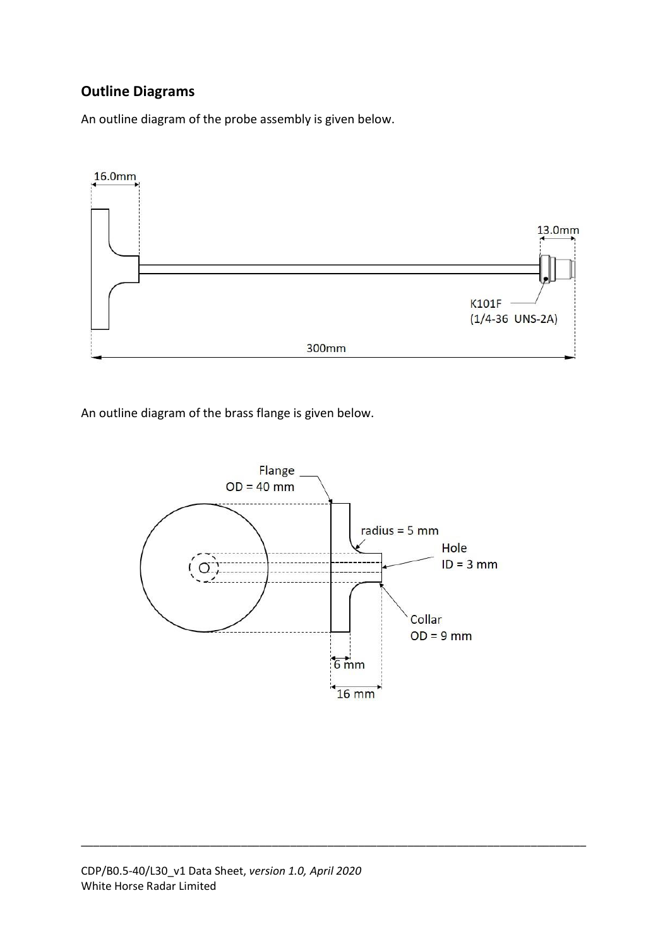# **Outline Diagrams**

An outline diagram of the probe assembly is given below.



An outline diagram of the brass flange is given below.



\_\_\_\_\_\_\_\_\_\_\_\_\_\_\_\_\_\_\_\_\_\_\_\_\_\_\_\_\_\_\_\_\_\_\_\_\_\_\_\_\_\_\_\_\_\_\_\_\_\_\_\_\_\_\_\_\_\_\_\_\_\_\_\_\_\_\_\_\_\_\_\_\_\_\_\_\_\_\_\_\_\_